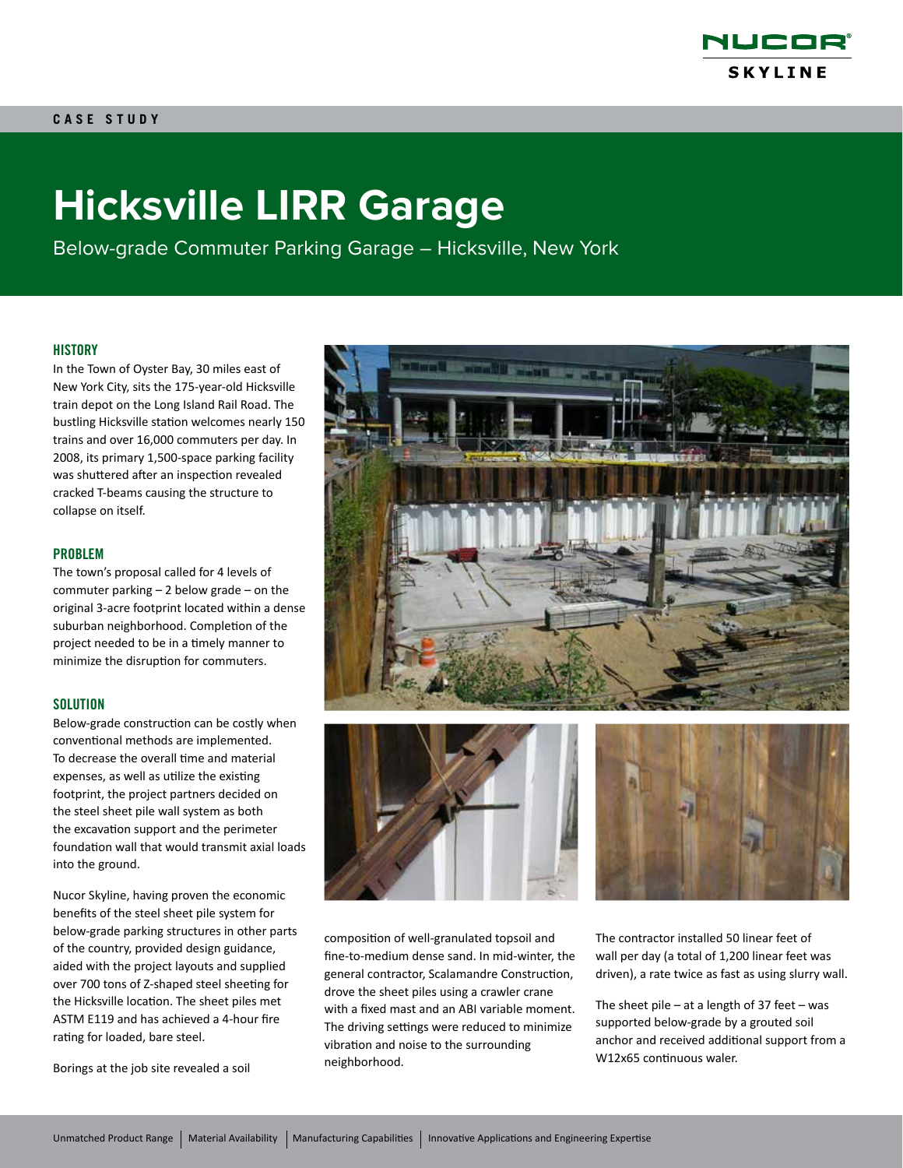

# **Hicksville LIRR Garage**

Below-grade Commuter Parking Garage – Hicksville, New York

# **HISTORY**

In the Town of Oyster Bay, 30 miles east of New York City, sits the 175-year-old Hicksville train depot on the Long Island Rail Road. The bustling Hicksville station welcomes nearly 150 trains and over 16,000 commuters per day. In 2008, its primary 1,500-space parking facility was shuttered after an inspection revealed cracked T-beams causing the structure to collapse on itself.

# PROBLEM

The town's proposal called for 4 levels of commuter parking – 2 below grade – on the original 3-acre footprint located within a dense suburban neighborhood. Completion of the project needed to be in a timely manner to minimize the disruption for commuters.

### **SOLUTION**

Below-grade construction can be costly when conventional methods are implemented. To decrease the overall time and material expenses, as well as utilize the existing footprint, the project partners decided on the steel sheet pile wall system as both the excavation support and the perimeter foundation wall that would transmit axial loads into the ground.

Nucor Skyline, having proven the economic benefits of the steel sheet pile system for below-grade parking structures in other parts of the country, provided design guidance, aided with the project layouts and supplied over 700 tons of Z-shaped steel sheeting for the Hicksville location. The sheet piles met ASTM E119 and has achieved a 4-hour fire rating for loaded, bare steel.

Borings at the job site revealed a soil







composition of well-granulated topsoil and fine-to-medium dense sand. In mid-winter, the general contractor, Scalamandre Construction, drove the sheet piles using a crawler crane with a fixed mast and an ABI variable moment. The driving settings were reduced to minimize vibration and noise to the surrounding neighborhood.

The contractor installed 50 linear feet of wall per day (a total of 1,200 linear feet was driven), a rate twice as fast as using slurry wall.

The sheet pile – at a length of 37 feet – was supported below-grade by a grouted soil anchor and received additional support from a W12x65 continuous waler.